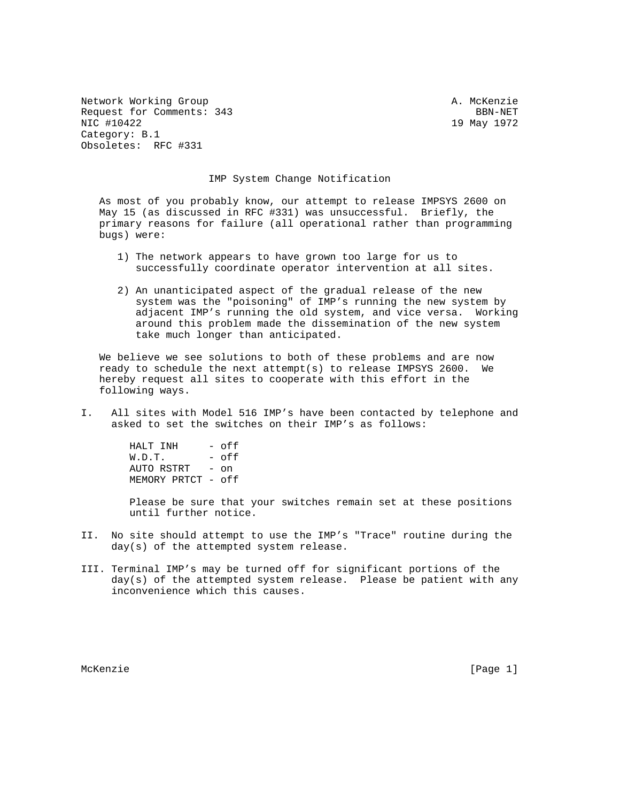Network Working Group and A. McKenzie Request for Comments: 343 BBN-NET NIC #10422 19 May 1972 Category: B.1 Obsoletes: RFC #331

## IMP System Change Notification

 As most of you probably know, our attempt to release IMPSYS 2600 on May 15 (as discussed in RFC #331) was unsuccessful. Briefly, the primary reasons for failure (all operational rather than programming bugs) were:

- 1) The network appears to have grown too large for us to successfully coordinate operator intervention at all sites.
- 2) An unanticipated aspect of the gradual release of the new system was the "poisoning" of IMP's running the new system by adjacent IMP's running the old system, and vice versa. Working around this problem made the dissemination of the new system take much longer than anticipated.

 We believe we see solutions to both of these problems and are now ready to schedule the next attempt(s) to release IMPSYS 2600. We hereby request all sites to cooperate with this effort in the following ways.

I. All sites with Model 516 IMP's have been contacted by telephone and asked to set the switches on their IMP's as follows:

> HALT INH - off  $W.D.T.$  - off AUTO RSTRT - on MEMORY PRTCT - off

 Please be sure that your switches remain set at these positions until further notice.

- II. No site should attempt to use the IMP's "Trace" routine during the day(s) of the attempted system release.
- III. Terminal IMP's may be turned off for significant portions of the day(s) of the attempted system release. Please be patient with any inconvenience which this causes.

McKenzie [Page 1]